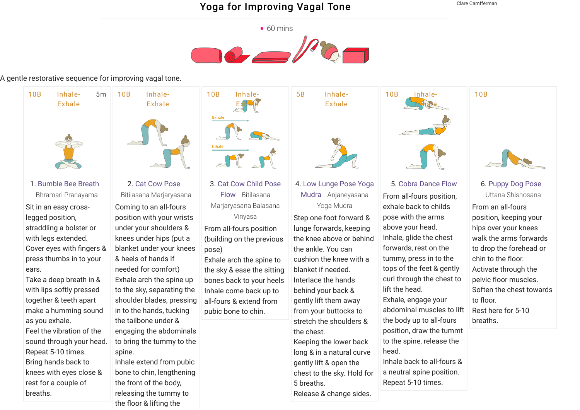## Yoga for [Improving](https://www.tummee.com/user/yoga/sequence?lid=L34R&destPage=editMetadata) Vagal Tone

Clare Camfferman

10B



A gentle restorative sequence for improving vagal tone.



1. [Bumble Bee Breath](https://www.tummee.com/yoga-poses/bumble-bee-breath)  Bhramari Pranayama

Sit in an easy crosslegged position, straddling a bolster or with legs extended. Cover eyes with fingers & press thumbs in to your ears.

Take a deep breath in & with lips softly pressed together & teeth apart make a humming sound as you exhale. Feel the vibration of the sound through your head. Repeat 5-10 times. Bring hands back to knees with eyes close & rest for a couple of breaths.



2. [Cat Cow Pose](https://www.tummee.com/yoga-poses/cat-cow-pose) 

Bitilasana Marjaryasana Coming to an all-fours position with your wrists under your shoulders & knees under hips (put a blanket under your knees & heels of hands if needed for comfort) Exhale arch the spine up to the sky, separating the shoulder blades, pressing in to the hands, tucking the tailbone under & engaging the abdominals to bring the tummy to the spine. Inhale extend from pubic bone to chin, lengthening the front of the body,

> releasing the tummy to the floor & lifting the

3. [Cat Cow Child Pose](https://www.tummee.com/yoga-poses/cat-cow-child-pose-flow) Flow Bitilasana Marjaryasana Balasana

10B Inhale-

Exhale

Inhale

Exhale

Vinyasa From all-fours position

(building on the previous pose)

Exhale arch the spine to the sky & ease the sitting bones back to your heels Inhale come back up to all-fours & extend from pubic bone to chin.



4. [Low Lunge Pose Yoga](https://www.tummee.com/yoga-poses/low-lunge-pose-yoga-mudra) Mudra Anjaneyasana Yoga Mudra

Step one foot forward & lunge forwards, keeping the knee above or behind the ankle. You can cushion the knee with a blanket if needed. Interlace the hands behind your back & gently lift them away from your buttocks to stretch the shoulders & the chest. Keeping the lower back long & in a natural curve gently lift & open the chest to the sky. Hold for 5 breaths.





5. [Cobra Dance Flow](https://www.tummee.com/yoga-poses/cobra-dance-flow) From all-fours position, exhale back to childs pose with the arms above your head, Inhale, glide the chest forwards, rest on the tummy, press in to the tops of the feet & gently curl through the chest to lift the head. Exhale, engage your abdominal muscles to lift the body up to all-fours position, draw the tummt to the spine, release the head. Inhale back to all-fours &

a neutral spine position. Repeat 5-10 times.



6. [Puppy Dog Pose](https://www.tummee.com/yoga-poses/puppy-dog-pose)  Uttana Shishosana

From an all-fours position, keeping your hips over your knees walk the arms forwards to drop the forehead or chin to the floor. Activate through the pelvic floor muscles. Soften the chest towards to floor. Rest here for 5-10 breaths.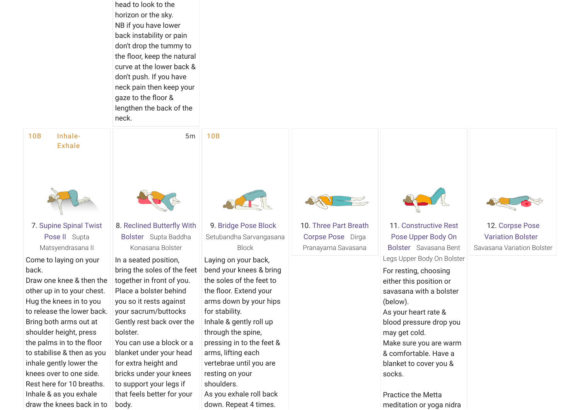head to look to the horizon or the sky. NB if you have lower back instability or pain don't drop the tummy to the floor, keep the natural curve at the lower back & don't push. If you have neck pain then keep your gaze to the floor & lengthen the back of the neck.

10B Inhale-Exhale



7. [Supine Spinal Twist](https://www.tummee.com/yoga-poses/supine-spinal-twist-pose-ii) Pose II Supta Matsyendrasana II

Come to laying on your back.

Draw one knee & then the other up in to your chest. Hug the knees in to you to release the lower back. Bring both arms out at shoulder height, press the palms in to the floor to stabilise & then as you inhale gently lower the knees over to one side. Rest here for 10 breaths. Inhale & as you exhale draw the knees back in to



5m

10B

8. Reclined Butterfly With Bolster Supta Baddha Konasana Bolster

In a seated position, bring the soles of the feet together in front of you. Place a bolster behind you so it rests against your sacrum/buttocks Gently rest back over the bolster.

You can use a block or a blanket under your head for extra height and bricks under your knees to support your legs if that feels better for your body.



9. [Bridge Pose Block](https://www.tummee.com/yoga-poses/bridge-pose-block)  Setubandha Sarvangasana Block

Laying on your back, bend your knees & bring the soles of the feet to the floor. Extend your arms down by your hips for stability. Inhale & gently roll up through the spine, pressing in to the feet & arms, lifting each vertebrae until you are resting on your shoulders.

As you exhale roll back down. Repeat 4 times.



10. [Three Part Breath](https://www.tummee.com/yoga-poses/three-part-breath-corpse-pose) Corpse Pose Dirga Pranayama Savasana

11. Constructive Rest [Pose Upper Body On](https://www.tummee.com/yoga-poses/constructive-rest-pose-upper-body-on-bolster) Bolster Savasana Bent Legs Upper Body On Bolster

For resting, choosing either this position or savasana with a bolster (below). As your heart rate & blood pressure drop you may get cold. Make sure you are warm & comfortable. Have a blanket to cover you & socks.

Practice the Metta meditation or yoga nidra



12. Corpse Pose [Variation Bolster](https://www.tummee.com/yoga-poses/corpse-pose-variation-bolster)  Savasana Variation Bolster